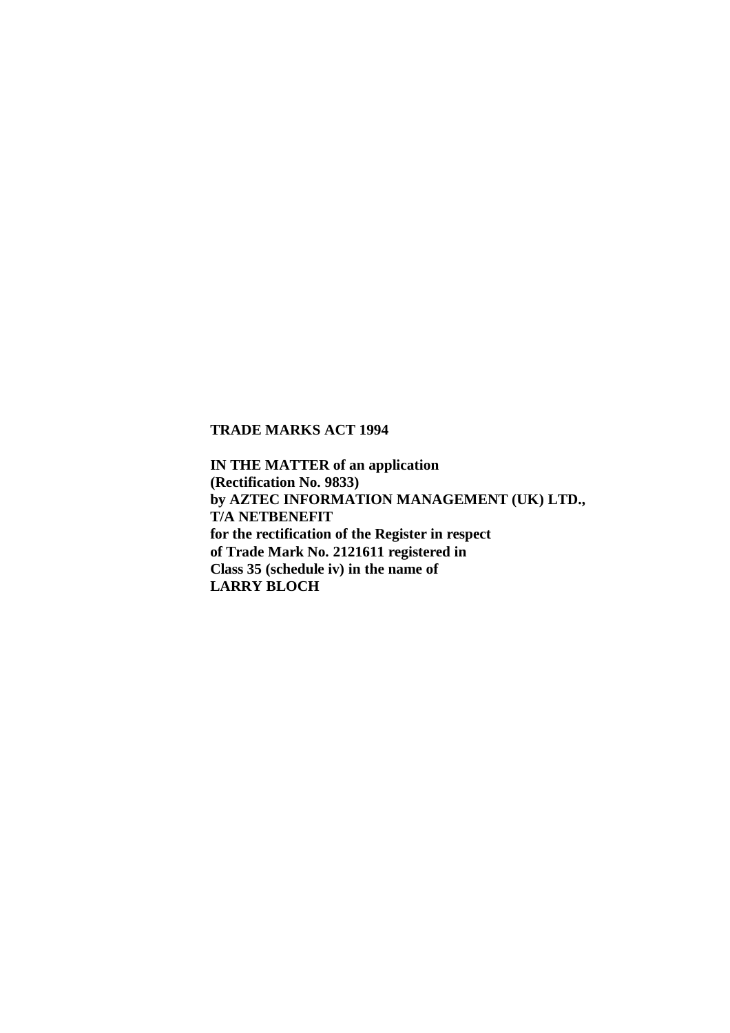## **TRADE MARKS ACT 1994**

**IN THE MATTER of an application (Rectification No. 9833) by AZTEC INFORMATION MANAGEMENT (UK) LTD., T/A NETBENEFIT for the rectification of the Register in respect of Trade Mark No. 2121611 registered in Class 35 (schedule iv) in the name of LARRY BLOCH**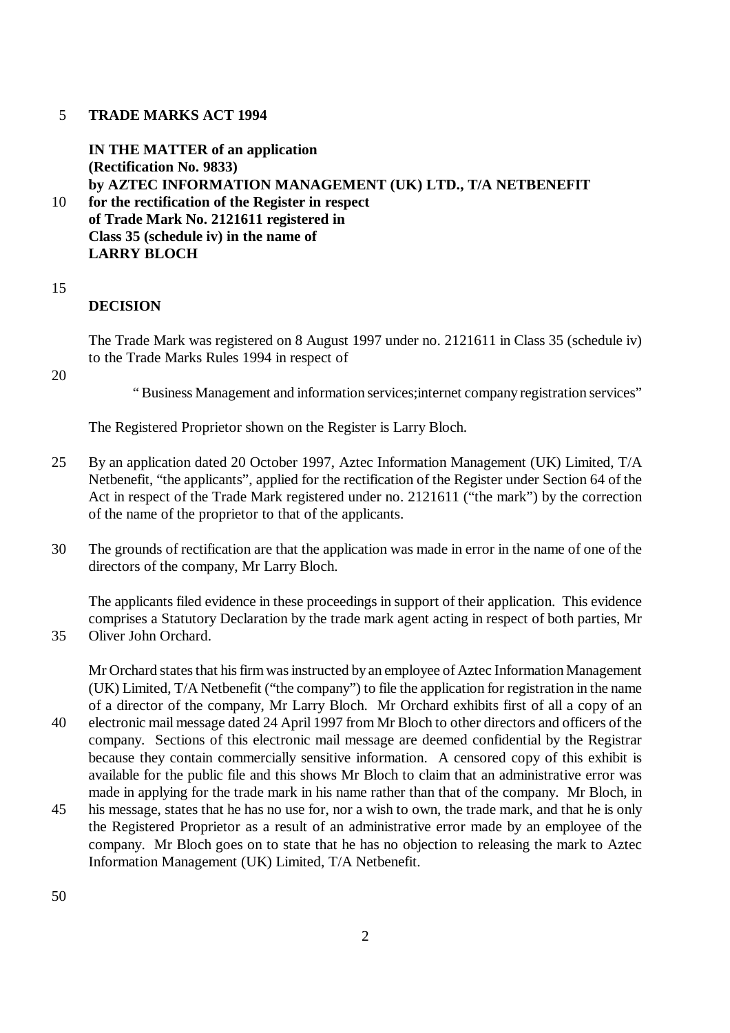## 5 **TRADE MARKS ACT 1994**

**IN THE MATTER of an application (Rectification No. 9833) by AZTEC INFORMATION MANAGEMENT (UK) LTD., T/A NETBENEFIT**

- 10 **for the rectification of the Register in respect of Trade Mark No. 2121611 registered in Class 35 (schedule iv) in the name of LARRY BLOCH**
- 15

## **DECISION**

The Trade Mark was registered on 8 August 1997 under no. 2121611 in Class 35 (schedule iv) to the Trade Marks Rules 1994 in respect of

20

" Business Management and information services;internet company registration services"

The Registered Proprietor shown on the Register is Larry Bloch.

- 25 By an application dated 20 October 1997, Aztec Information Management (UK) Limited, T/A Netbenefit, "the applicants", applied for the rectification of the Register under Section 64 of the Act in respect of the Trade Mark registered under no. 2121611 ("the mark") by the correction of the name of the proprietor to that of the applicants.
- 30 The grounds of rectification are that the application was made in error in the name of one of the directors of the company, Mr Larry Bloch.

The applicants filed evidence in these proceedings in support of their application. This evidence comprises a Statutory Declaration by the trade mark agent acting in respect of both parties, Mr 35 Oliver John Orchard.

Mr Orchard states that his firm was instructed by an employee of Aztec Information Management (UK) Limited, T/A Netbenefit ("the company") to file the application for registration in the name of a director of the company, Mr Larry Bloch. Mr Orchard exhibits first of all a copy of an

- 40 electronic mail message dated 24 April 1997 from Mr Bloch to other directors and officers of the company. Sections of this electronic mail message are deemed confidential by the Registrar because they contain commercially sensitive information. A censored copy of this exhibit is available for the public file and this shows Mr Bloch to claim that an administrative error was made in applying for the trade mark in his name rather than that of the company. Mr Bloch, in
- 45 his message, states that he has no use for, nor a wish to own, the trade mark, and that he is only the Registered Proprietor as a result of an administrative error made by an employee of the company. Mr Bloch goes on to state that he has no objection to releasing the mark to Aztec Information Management (UK) Limited, T/A Netbenefit.

50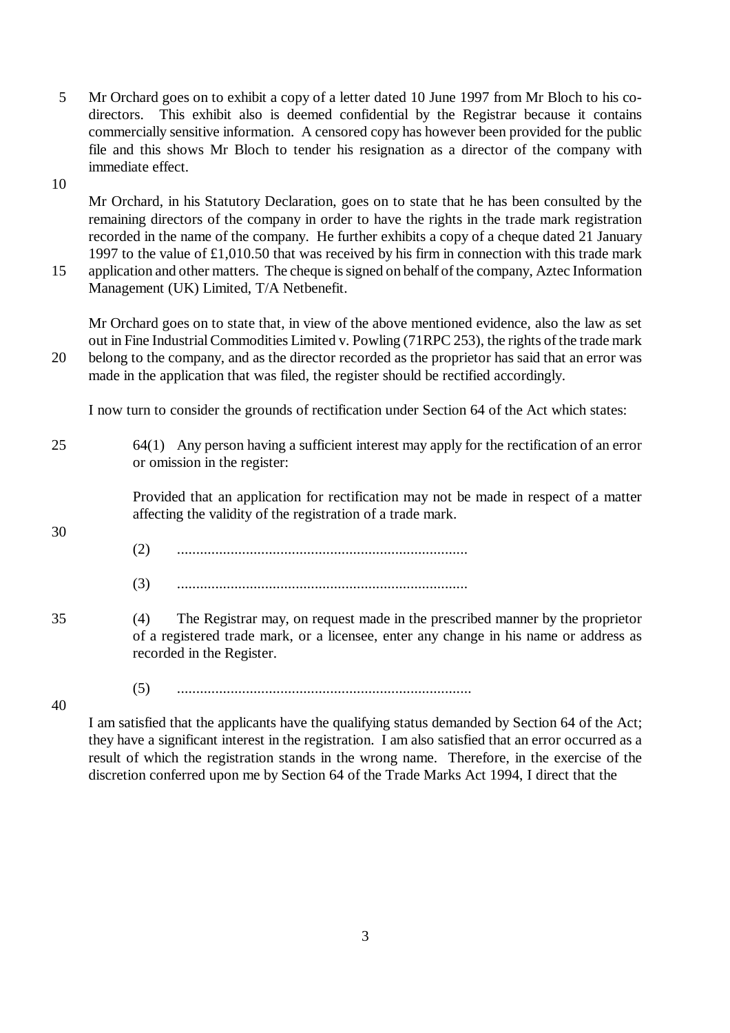5 Mr Orchard goes on to exhibit a copy of a letter dated 10 June 1997 from Mr Bloch to his codirectors. This exhibit also is deemed confidential by the Registrar because it contains commercially sensitive information. A censored copy has however been provided for the public file and this shows Mr Bloch to tender his resignation as a director of the company with immediate effect.

10

Mr Orchard, in his Statutory Declaration, goes on to state that he has been consulted by the remaining directors of the company in order to have the rights in the trade mark registration recorded in the name of the company. He further exhibits a copy of a cheque dated 21 January 1997 to the value of £1,010.50 that was received by his firm in connection with this trade mark 15 application and other matters. The cheque is signed on behalf of the company, Aztec Information

Management (UK) Limited, T/A Netbenefit.

Mr Orchard goes on to state that, in view of the above mentioned evidence, also the law as set out in Fine Industrial Commodities Limited v. Powling (71RPC 253), the rights of the trade mark 20 belong to the company, and as the director recorded as the proprietor has said that an error was made in the application that was filed, the register should be rectified accordingly.

I now turn to consider the grounds of rectification under Section 64 of the Act which states:

25 64(1) Any person having a sufficient interest may apply for the rectification of an error or omission in the register:

> Provided that an application for rectification may not be made in respect of a matter affecting the validity of the registration of a trade mark.

- (2) ............................................................................
- (3) ............................................................................
- 35 (4) The Registrar may, on request made in the prescribed manner by the proprietor of a registered trade mark, or a licensee, enter any change in his name or address as recorded in the Register.

(5) .............................................................................

40

30

I am satisfied that the applicants have the qualifying status demanded by Section 64 of the Act; they have a significant interest in the registration. I am also satisfied that an error occurred as a result of which the registration stands in the wrong name. Therefore, in the exercise of the discretion conferred upon me by Section 64 of the Trade Marks Act 1994, I direct that the